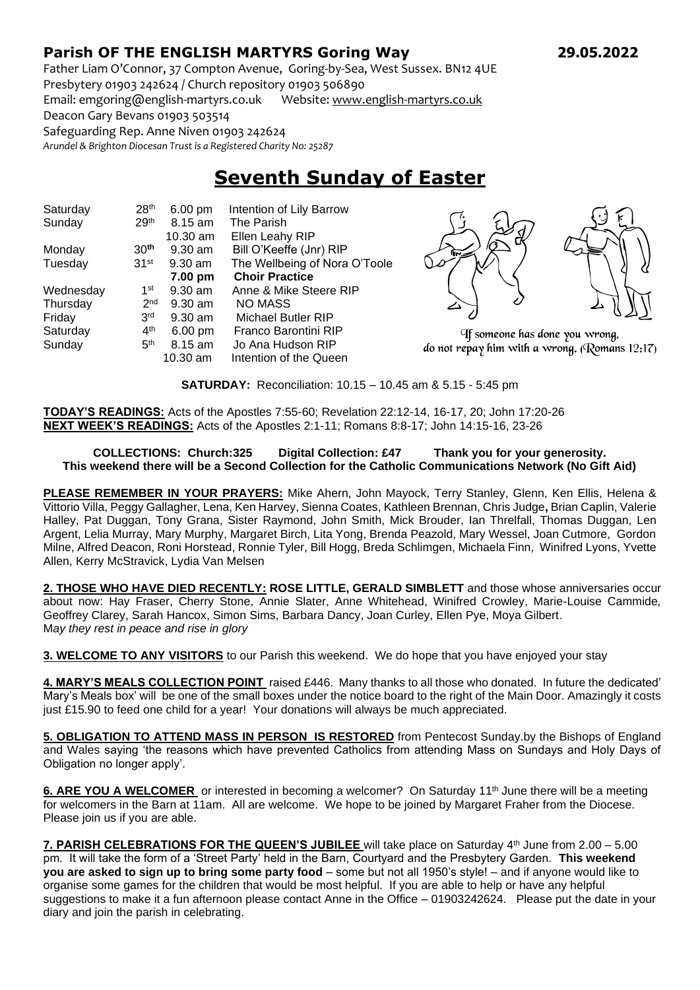## **Parish OF THE ENGLISH MARTYRS Goring Way 29.05.2022**

Father Liam O'Connor, 37 Compton Avenue, Goring-by-Sea, West Sussex. BN12 4UE Presbytery 01903 242624 / Church repository 01903 506890

Email: emgoring@english-martyrs.co.uk Website[: www.english-martyrs.co.uk](http://www.english-martyrs.co.uk/) 

Deacon Gary Bevans 01903 503514

Safeguarding Rep. Anne Niven 01903 242624

*Arundel & Brighton Diocesan Trust is a Registered Charity No: 25287*

## **Seventh Sunday of Easter**

| Saturday  | 28 <sup>th</sup> | 6.00 pm           | Intention of Lily Barrow      |
|-----------|------------------|-------------------|-------------------------------|
| Sunday    | 29 <sup>th</sup> | 8.15 am           | The Parish                    |
|           |                  | $10.30$ am        | Ellen Leahy RIP               |
| Monday    | 30 <sup>th</sup> | $9.30$ am         | Bill O'Keeffe (Jnr) RIP       |
| Tuesday   | 31 <sup>st</sup> | $9.30$ am         | The Wellbeing of Nora O'Toole |
|           |                  | 7.00 pm           | <b>Choir Practice</b>         |
| Wednesday | 1 <sup>st</sup>  | $9.30$ am         | Anne & Mike Steere RIP        |
| Thursday  | 2 <sub>nd</sub>  | $9.30$ am         | <b>NO MASS</b>                |
| Friday    | 3 <sup>rd</sup>  | $9.30$ am         | Michael Butler RIP            |
| Saturday  | 4 <sup>th</sup>  | $6.00 \text{ pm}$ | Franco Barontini RIP          |
| Sunday    | 5 <sup>th</sup>  | 8.15 am           | Jo Ana Hudson RIP             |
|           |                  | 10.30 am          | Intention of the Queen        |



If someone has done you wrong, do not repay him with a wrong. (Romans  $12:17$ )

**SATURDAY:** Reconciliation: 10.15 – 10.45 am & 5.15 - 5:45 pm

**TODAY'S READINGS:** Acts of the Apostles 7:55-60; Revelation 22:12-14, 16-17, 20; John 17:20-26 **NEXT WEEK'S READINGS:** Acts of the Apostles 2:1-11; Romans 8:8-17; John 14:15-16, 23-26

## **COLLECTIONS: Church:325 Digital Collection: £47 Thank you for your generosity. This weekend there will be a Second Collection for the Catholic Communications Network (No Gift Aid)**

**PLEASE REMEMBER IN YOUR PRAYERS:** Mike Ahern, John Mayock, Terry Stanley, Glenn, Ken Ellis, Helena & Vittorio Villa, Peggy Gallagher, Lena, Ken Harvey, Sienna Coates, Kathleen Brennan, Chris Judge**,** Brian Caplin, Valerie Halley, Pat Duggan, Tony Grana, Sister Raymond, John Smith, Mick Brouder, Ian Threlfall, Thomas Duggan, Len Argent, Lelia Murray, Mary Murphy, Margaret Birch, Lita Yong, Brenda Peazold, Mary Wessel, Joan Cutmore, Gordon Milne, Alfred Deacon, Roni Horstead, Ronnie Tyler, Bill Hogg, Breda Schlimgen, Michaela Finn, Winifred Lyons, Yvette Allen, Kerry McStravick, Lydia Van Melsen

**2. THOSE WHO HAVE DIED RECENTLY: ROSE LITTLE, GERALD SIMBLETT** and those whose anniversaries occur about now: Hay Fraser, Cherry Stone, Annie Slater, Anne Whitehead, Winifred Crowley, Marie-Louise Cammide*,*  Geoffrey Clarey, Sarah Hancox, Simon Sims, Barbara Dancy, Joan Curley, Ellen Pye, Moya Gilbert. M*ay they rest in peace and rise in glory*

**3. WELCOME TO ANY VISITORS** to our Parish this weekend. We do hope that you have enjoyed your stay

**4. MARY'S MEALS COLLECTION POINT** raised £446. Many thanks to all those who donated. In future the dedicated' Mary's Meals box' will be one of the small boxes under the notice board to the right of the Main Door. Amazingly it costs just £15.90 to feed one child for a year! Your donations will always be much appreciated.

**5. OBLIGATION TO ATTEND MASS IN PERSON IS RESTORED** from Pentecost Sunday.by the Bishops of England and Wales saying 'the reasons which have prevented Catholics from attending Mass on Sundays and Holy Days of Obligation no longer apply'.

6. ARE YOU A WELCOMER or interested in becoming a welcomer? On Saturday 11<sup>th</sup> June there will be a meeting for welcomers in the Barn at 11am. All are welcome. We hope to be joined by Margaret Fraher from the Diocese. Please join us if you are able.

**7. PARISH CELEBRATIONS FOR THE QUEEN'S JUBILEE** will take place on Saturday 4th June from 2.00 – 5.00 pm. It will take the form of a 'Street Party' held in the Barn, Courtyard and the Presbytery Garden. **This weekend you are asked to sign up to bring some party food** – some but not all 1950's style! – and if anyone would like to organise some games for the children that would be most helpful. If you are able to help or have any helpful suggestions to make it a fun afternoon please contact Anne in the Office – 01903242624. Please put the date in your diary and join the parish in celebrating.